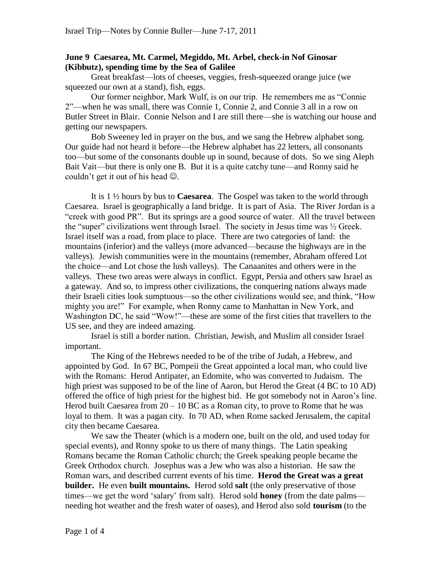## **June 9 Caesarea, Mt. Carmel, Megiddo, Mt. Arbel, check-in Nof Ginosar (Kibbutz), spending time by the Sea of Galilee**

Great breakfast—lots of cheeses, veggies, fresh-squeezed orange juice (we squeezed our own at a stand), fish, eggs.

Our former neighbor, Mark Wulf, is on our trip. He remembers me as "Connie" 2‖—when he was small, there was Connie 1, Connie 2, and Connie 3 all in a row on Butler Street in Blair. Connie Nelson and I are still there—she is watching our house and getting our newspapers.

Bob Sweeney led in prayer on the bus, and we sang the Hebrew alphabet song. Our guide had not heard it before—the Hebrew alphabet has 22 letters, all consonants too—but some of the consonants double up in sound, because of dots. So we sing Aleph Bait Vait—but there is only one B. But it is a quite catchy tune—and Ronny said he couldn't get it out of his head  $\odot$ .

It is 1 ½ hours by bus to **Caesarea**. The Gospel was taken to the world through Caesarea. Israel is geographically a land bridge. It is part of Asia. The River Jordan is a "creek with good PR". But its springs are a good source of water. All the travel between the "super" civilizations went through Israel. The society in Jesus time was  $\frac{1}{2}$  Greek. Israel itself was a road, from place to place. There are two categories of land: the mountains (inferior) and the valleys (more advanced—because the highways are in the valleys). Jewish communities were in the mountains (remember, Abraham offered Lot the choice—and Lot chose the lush valleys). The Canaanites and others were in the valleys. These two areas were always in conflict. Egypt, Persia and others saw Israel as a gateway. And so, to impress other civilizations, the conquering nations always made their Israeli cities look sumptuous—so the other civilizations would see, and think, "How mighty you are!" For example, when Ronny came to Manhattan in New York, and Washington DC, he said "Wow!"—these are some of the first cities that travellers to the US see, and they are indeed amazing.

Israel is still a border nation. Christian, Jewish, and Muslim all consider Israel important.

The King of the Hebrews needed to be of the tribe of Judah, a Hebrew, and appointed by God. In 67 BC, Pompeii the Great appointed a local man, who could live with the Romans: Herod Antipater, an Edomite, who was converted to Judaism. The high priest was supposed to be of the line of Aaron, but Herod the Great (4 BC to 10 AD) offered the office of high priest for the highest bid. He got somebody not in Aaron's line. Herod built Caesarea from  $20 - 10$  BC as a Roman city, to prove to Rome that he was loyal to them. It was a pagan city. In 70 AD, when Rome sacked Jerusalem, the capital city then became Caesarea.

We saw the Theater (which is a modern one, built on the old, and used today for special events), and Ronny spoke to us there of many things. The Latin speaking Romans became the Roman Catholic church; the Greek speaking people became the Greek Orthodox church. Josephus was a Jew who was also a historian. He saw the Roman wars, and described current events of his time. **Herod the Great was a great builder.** He even **built mountains.** Herod sold **salt** (the only preservative of those times—we get the word 'salary' from salt). Herod sold **honey** (from the date palms needing hot weather and the fresh water of oases), and Herod also sold **tourism** (to the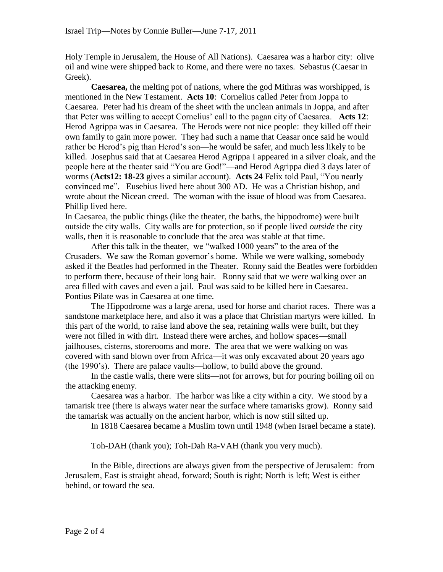Holy Temple in Jerusalem, the House of All Nations). Caesarea was a harbor city: olive oil and wine were shipped back to Rome, and there were no taxes. Sebastus (Caesar in Greek).

**Caesarea,** the melting pot of nations, where the god Mithras was worshipped, is mentioned in the New Testament. **Acts 10**: Cornelius called Peter from Joppa to Caesarea. Peter had his dream of the sheet with the unclean animals in Joppa, and after that Peter was willing to accept Cornelius' call to the pagan city of Caesarea. **Acts 12**: Herod Agrippa was in Caesarea. The Herods were not nice people: they killed off their own family to gain more power. They had such a name that Ceasar once said he would rather be Herod's pig than Herod's son—he would be safer, and much less likely to be killed. Josephus said that at Caesarea Herod Agrippa I appeared in a silver cloak, and the people here at the theater said "You are God!"—and Herod Agrippa died 3 days later of worms (Acts12: 18-23 gives a similar account). Acts 24 Felix told Paul, "You nearly convinced me". Eusebius lived here about 300 AD. He was a Christian bishop, and wrote about the Nicean creed. The woman with the issue of blood was from Caesarea. Phillip lived here.

In Caesarea, the public things (like the theater, the baths, the hippodrome) were built outside the city walls. City walls are for protection, so if people lived *outside* the city walls, then it is reasonable to conclude that the area was stable at that time.

After this talk in the theater, we "walked 1000 years" to the area of the Crusaders. We saw the Roman governor's home. While we were walking, somebody asked if the Beatles had performed in the Theater. Ronny said the Beatles were forbidden to perform there, because of their long hair. Ronny said that we were walking over an area filled with caves and even a jail. Paul was said to be killed here in Caesarea. Pontius Pilate was in Caesarea at one time.

The Hippodrome was a large arena, used for horse and chariot races. There was a sandstone marketplace here, and also it was a place that Christian martyrs were killed. In this part of the world, to raise land above the sea, retaining walls were built, but they were not filled in with dirt. Instead there were arches, and hollow spaces—small jailhouses, cisterns, storerooms and more. The area that we were walking on was covered with sand blown over from Africa—it was only excavated about 20 years ago (the 1990's). There are palace vaults—hollow, to build above the ground.

In the castle walls, there were slits—not for arrows, but for pouring boiling oil on the attacking enemy.

Caesarea was a harbor. The harbor was like a city within a city. We stood by a tamarisk tree (there is always water near the surface where tamarisks grow). Ronny said the tamarisk was actually on the ancient harbor, which is now still silted up.

In 1818 Caesarea became a Muslim town until 1948 (when Israel became a state).

Toh-DAH (thank you); Toh-Dah Ra-VAH (thank you very much).

In the Bible, directions are always given from the perspective of Jerusalem: from Jerusalem, East is straight ahead, forward; South is right; North is left; West is either behind, or toward the sea.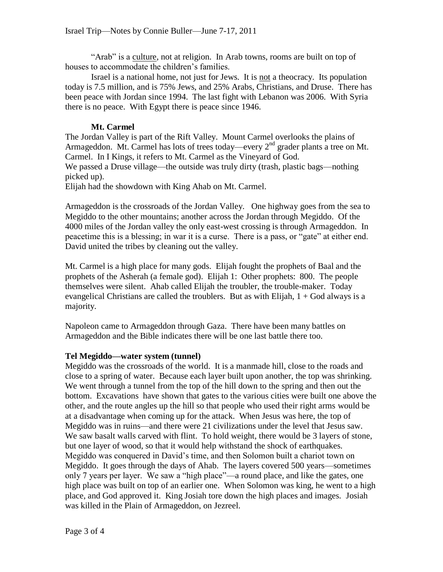"Arab" is a culture, not at religion. In Arab towns, rooms are built on top of houses to accommodate the children's families.

Israel is a national home, not just for Jews. It is not a theocracy. Its population today is 7.5 million, and is 75% Jews, and 25% Arabs, Christians, and Druse. There has been peace with Jordan since 1994. The last fight with Lebanon was 2006. With Syria there is no peace. With Egypt there is peace since 1946.

## **Mt. Carmel**

The Jordan Valley is part of the Rift Valley. Mount Carmel overlooks the plains of Armageddon. Mt. Carmel has lots of trees today—every  $2<sup>nd</sup>$  grader plants a tree on Mt. Carmel. In I Kings, it refers to Mt. Carmel as the Vineyard of God. We passed a Druse village—the outside was truly dirty (trash, plastic bags—nothing picked up).

Elijah had the showdown with King Ahab on Mt. Carmel.

Armageddon is the crossroads of the Jordan Valley. One highway goes from the sea to Megiddo to the other mountains; another across the Jordan through Megiddo. Of the 4000 miles of the Jordan valley the only east-west crossing is through Armageddon. In peacetime this is a blessing; in war it is a curse. There is a pass, or "gate" at either end. David united the tribes by cleaning out the valley.

Mt. Carmel is a high place for many gods. Elijah fought the prophets of Baal and the prophets of the Asherah (a female god). Elijah 1: Other prophets: 800. The people themselves were silent. Ahab called Elijah the troubler, the trouble-maker. Today evangelical Christians are called the troublers. But as with Elijah,  $1 + God$  always is a majority.

Napoleon came to Armageddon through Gaza. There have been many battles on Armageddon and the Bible indicates there will be one last battle there too.

## **Tel Megiddo—water system (tunnel)**

Megiddo was the crossroads of the world. It is a manmade hill, close to the roads and close to a spring of water. Because each layer built upon another, the top was shrinking. We went through a tunnel from the top of the hill down to the spring and then out the bottom. Excavations have shown that gates to the various cities were built one above the other, and the route angles up the hill so that people who used their right arms would be at a disadvantage when coming up for the attack. When Jesus was here, the top of Megiddo was in ruins—and there were 21 civilizations under the level that Jesus saw. We saw basalt walls carved with flint. To hold weight, there would be 3 layers of stone, but one layer of wood, so that it would help withstand the shock of earthquakes. Megiddo was conquered in David's time, and then Solomon built a chariot town on Megiddo. It goes through the days of Ahab. The layers covered 500 years—sometimes only 7 years per layer. We saw a "high place"—a round place, and like the gates, one high place was built on top of an earlier one. When Solomon was king, he went to a high place, and God approved it. King Josiah tore down the high places and images. Josiah was killed in the Plain of Armageddon, on Jezreel.